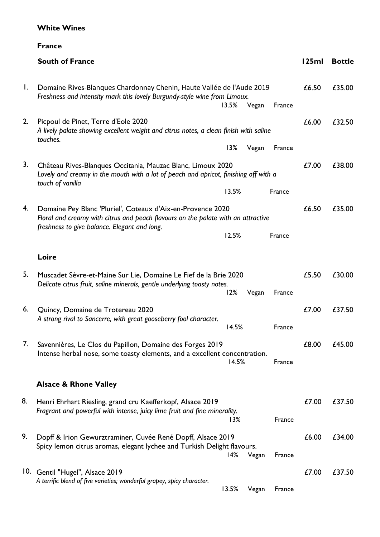## **White Wines**

## **France**

|    | <b>South of France</b>                                                                                                                                                                           | 125ml | <b>Bottle</b> |
|----|--------------------------------------------------------------------------------------------------------------------------------------------------------------------------------------------------|-------|---------------|
| Ι. | Domaine Rives-Blanques Chardonnay Chenin, Haute Vallée de l'Aude 2019<br>Freshness and intensity mark this lovely Burgundy-style wine from Limoux.<br>13.5%<br>Vegan<br>France                   | £6.50 | £35.00        |
| 2. | Picpoul de Pinet, Terre d'Eole 2020<br>A lively palate showing excellent weight and citrus notes, a clean finish with saline<br>touches.                                                         | £6.00 | £32.50        |
|    | 13%<br>Vegan<br>France                                                                                                                                                                           |       |               |
| 3. | Château Rives-Blanques Occitania, Mauzac Blanc, Limoux 2020<br>Lovely and creamy in the mouth with a lot of peach and apricot, finishing off with a<br>touch of vanilla                          | £7.00 | £38.00        |
|    | 13.5%<br>France                                                                                                                                                                                  |       |               |
| 4. | Domaine Pey Blanc 'Pluriel', Coteaux d'Aix-en-Provence 2020<br>Floral and creamy with citrus and peach flavours on the palate with an attractive<br>freshness to give balance. Elegant and long. | £6.50 | £35.00        |
|    | 12.5%<br>France                                                                                                                                                                                  |       |               |
|    | Loire                                                                                                                                                                                            |       |               |
| 5. | Muscadet Sèvre-et-Maine Sur Lie, Domaine Le Fief de la Brie 2020<br>Delicate citrus fruit, saline minerals, gentle underlying toasty notes.<br>12%<br>Vegan<br>France                            | £5.50 | £30.00        |
| 6. | Quincy, Domaine de Trotereau 2020<br>A strong rival to Sancerre, with great gooseberry fool character.<br>14.5%<br>France                                                                        | £7.00 | £37.50        |
| 7. | Savennières, Le Clos du Papillon, Domaine des Forges 2019<br>Intense herbal nose, some toasty elements, and a excellent concentration.<br>14.5%<br>France                                        | £8.00 | £45.00        |
|    | <b>Alsace &amp; Rhone Valley</b>                                                                                                                                                                 |       |               |
| 8. | Henri Ehrhart Riesling, grand cru Kaefferkopf, Alsace 2019<br>Fragrant and powerful with intense, juicy lime fruit and fine minerality.<br>13%<br>France                                         | £7.00 | £37.50        |
| 9. | Dopff & Irion Gewurztraminer, Cuvée René Dopff, Alsace 2019<br>Spicy lemon citrus aromas, elegant lychee and Turkish Delight flavours.<br>14%<br>Vegan<br>France                                 | £6.00 | £34.00        |
|    | 10. Gentil "Hugel", Alsace 2019<br>A terrific blend of five varieties; wonderful grapey, spicy character.<br>13.5%<br>Vegan<br>France                                                            | £7.00 | £37.50        |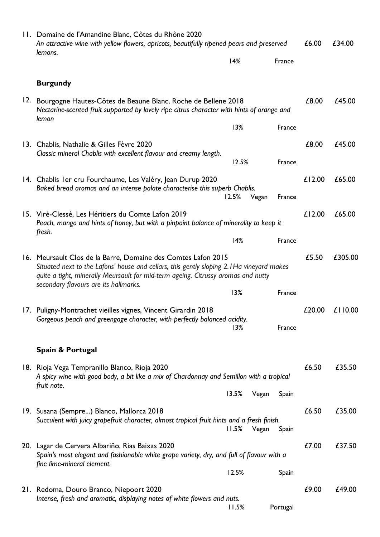| 11. Domaine de l'Amandine Blanc, Côtes du Rhône 2020<br>An attractive wine with yellow flowers, apricots, beautifully ripened pears and preserved<br>lemons.                                                                                                                            |       |       |          | £6.00  | £34.00           |
|-----------------------------------------------------------------------------------------------------------------------------------------------------------------------------------------------------------------------------------------------------------------------------------------|-------|-------|----------|--------|------------------|
|                                                                                                                                                                                                                                                                                         | 14%   |       | France   |        |                  |
| <b>Burgundy</b>                                                                                                                                                                                                                                                                         |       |       |          |        |                  |
| 12. Bourgogne Hautes-Côtes de Beaune Blanc, Roche de Bellene 2018<br>Nectarine-scented fruit supported by lovely ripe citrus character with hints of orange and                                                                                                                         |       |       |          | £8.00  | £45.00           |
| lemon                                                                                                                                                                                                                                                                                   | 13%   |       | France   |        |                  |
| 13. Chablis, Nathalie & Gilles Fèvre 2020<br>Classic mineral Chablis with excellent flavour and creamy length.                                                                                                                                                                          | 12.5% |       | France   | £8.00  | £45.00           |
| 14. Chablis I er cru Fourchaume, Les Valéry, Jean Durup 2020<br>Baked bread aromas and an intense palate characterise this superb Chablis.                                                                                                                                              |       |       |          | £12.00 | £65.00           |
| 15. Viré-Clessé, Les Héritiers du Comte Lafon 2019<br>Peach, mango and hints of honey, but with a pinpoint balance of minerality to keep it                                                                                                                                             | 12.5% | Vegan | France   | £12.00 | £65.00           |
| fresh.                                                                                                                                                                                                                                                                                  | 14%   |       | France   |        |                  |
| 16. Meursault Clos de la Barre, Domaine des Comtes Lafon 2015<br>Situated next to the Lafons' house and cellars, this gently sloping 2.1Ha vineyard makes<br>quite a tight, minerally Meursault for mid-term ageing. Citrussy aromas and nutty<br>secondary flavours are its hallmarks. |       |       |          | £5.50  | £305.00          |
|                                                                                                                                                                                                                                                                                         | 13%   |       | France   |        |                  |
| 17. Puligny-Montrachet vieilles vignes, Vincent Girardin 2018<br>Gorgeous peach and greengage character, with perfectly balanced acidity.                                                                                                                                               | 13%   |       | France   |        | £20.00 $£110.00$ |
| Spain & Portugal                                                                                                                                                                                                                                                                        |       |       |          |        |                  |
| 18. Rioja Vega Tempranillo Blanco, Rioja 2020<br>A spicy wine with good body, a bit like a mix of Chardonnay and Semillon with a tropical                                                                                                                                               |       |       |          | £6.50  | £35.50           |
| fruit note.                                                                                                                                                                                                                                                                             | 13.5% | Vegan | Spain    |        |                  |
| 19. Susana (Sempre) Blanco, Mallorca 2018<br>Succulent with juicy grapefruit character, almost tropical fruit hints and a fresh finish.                                                                                                                                                 | 11.5% | Vegan | Spain    | £6.50  | £35.00           |
| 20. Lagar de Cervera Albariño, Rias Baixas 2020<br>Spain's most elegant and fashionable white grape variety, dry, and full of flavour with a                                                                                                                                            |       |       |          | £7.00  | £37.50           |
| fine lime-mineral element.                                                                                                                                                                                                                                                              | 12.5% |       | Spain    |        |                  |
| 21. Redoma, Douro Branco, Niepoort 2020<br>Intense, fresh and aromatic, displaying notes of white flowers and nuts.                                                                                                                                                                     | 11.5% |       | Portugal | £9.00  | £49.00           |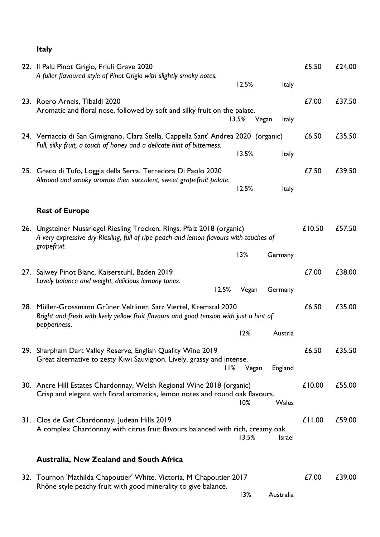## **Italy**

| 22. Il Palù Pinot Grigio, Friuli Grave 2020<br>A fuller flavoured style of Pinot Grigio with slightly smoky notes.<br>12.5%<br>Italy                                            | £5.50  | £24.00 |
|---------------------------------------------------------------------------------------------------------------------------------------------------------------------------------|--------|--------|
| 23. Roero Arneis, Tibaldi 2020<br>Aromatic and floral nose, followed by soft and silky fruit on the palate.<br>13.5%<br>Vegan<br><b>Italy</b>                                   | £7.00  | £37.50 |
| 24. Vernaccia di San Gimignano, Clara Stella, Cappella Sant' Andrea 2020 (organic)<br>Full, silky fruit, a touch of honey and a delicate hint of bitterness.<br>13.5%<br>Italy  | £6.50  | £35.50 |
| 25. Greco di Tufo, Loggia della Serra, Terredora Di Paolo 2020<br>Almond and smoky aromas then succulent, sweet grapefruit palate.<br>12.5%<br><b>Italy</b>                     | £7.50  | £39.50 |
| <b>Rest of Europe</b>                                                                                                                                                           |        |        |
| 26. Ungsteiner Nussriegel Riesling Trocken, Rings, Pfalz 2018 (organic)<br>A very expressive dry Riesling, full of ripe peach and lemon flavours with touches of<br>grapefruit. | £10.50 | £57.50 |
| 13%<br>Germany                                                                                                                                                                  |        |        |
| 27. Salwey Pinot Blanc, Kaiserstuhl, Baden 2019<br>Lovely balance and weight, delicious lemony tones.<br>12.5%<br>Vegan<br>Germany                                              | £7.00  | £38.00 |
| 28. Müller-Grossmann Grüner Veltliner, Satz Viertel, Kremstal 2020<br>Bright and fresh with lively yellow fruit flavours and good tension with just a hint of<br>pepperiness.   | £6.50  | £35.00 |
| 12%<br>Austria                                                                                                                                                                  |        |        |
| 29. Sharpham Dart Valley Reserve, English Quality Wine 2019<br>Great alternative to zesty Kiwi Sauvignon. Lively, grassy and intense.<br>l I%<br>England<br>Vegan               | £6.50  | £35.50 |
| 30. Ancre Hill Estates Chardonnay, Welsh Regional Wine 2018 (organic)<br>Crisp and elegant with floral aromatics, lemon notes and round oak flavours.<br>10%<br>Wales           | £10.00 | £55.00 |
| 31. Clos de Gat Chardonnay, Judean Hills 2019<br>A complex Chardonnay with citrus fruit flavours balanced with rich, creamy oak.<br>13.5%<br><b>Israel</b>                      | £11.00 | £59.00 |
| Australia, New Zealand and South Africa                                                                                                                                         |        |        |
| 32. Tournon 'Mathilda Chapoutier' White, Victoria, M Chapoutier 2017<br>Rhône style peachy fruit with good minerality to give balance.<br>13%<br>Australia                      | £7.00  | £39.00 |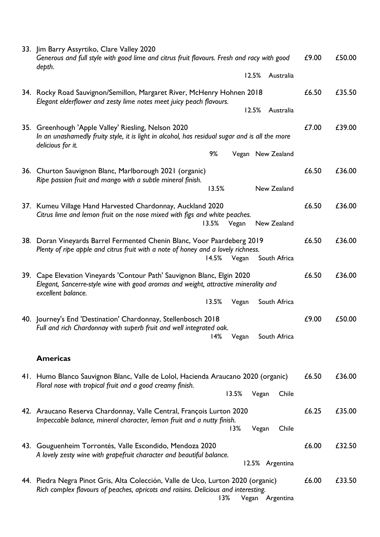| 33. Jim Barry Assyrtiko, Clare Valley 2020<br>Generous and full style with good lime and citrus fruit flavours. Fresh and racy with good<br>depth.                                                  | £9.00 | £50.00 |
|-----------------------------------------------------------------------------------------------------------------------------------------------------------------------------------------------------|-------|--------|
| 12.5%<br>Australia                                                                                                                                                                                  |       |        |
| 34. Rocky Road Sauvignon/Semillon, Margaret River, McHenry Hohnen 2018<br>Elegant elderflower and zesty lime notes meet juicy peach flavours.<br>12.5%<br>Australia                                 | £6.50 | £35.50 |
| 35. Greenhough 'Apple Valley' Riesling, Nelson 2020<br>In an unashamedly fruity style, it is light in alcohol, has residual sugar and is all the more<br>delicious for it.                          | £7.00 | £39.00 |
| 9%<br>Vegan New Zealand                                                                                                                                                                             |       |        |
| 36. Churton Sauvignon Blanc, Marlborough 2021 (organic)<br>Ripe passion fruit and mango with a subtle mineral finish.                                                                               | £6.50 | £36.00 |
| 13.5%<br>New Zealand                                                                                                                                                                                |       |        |
| 37. Kumeu Village Hand Harvested Chardonnay, Auckland 2020<br>Citrus lime and lemon fruit on the nose mixed with figs and white peaches.<br>13.5%<br>New Zealand<br>Vegan                           | £6.50 | £36.00 |
| 38. Doran Vineyards Barrel Fermented Chenin Blanc, Voor Paardeberg 2019<br>Plenty of ripe apple and citrus fruit with a note of honey and a lovely richness.<br>South Africa<br>14.5%<br>Vegan      | £6.50 | £36.00 |
| 39. Cape Elevation Vineyards 'Contour Path' Sauvignon Blanc, Elgin 2020<br>Elegant, Sancerre-style wine with good aromas and weight, attractive minerality and<br>excellent balance.                | £6.50 | £36.00 |
| 13.5%<br>South Africa<br>Vegan                                                                                                                                                                      |       |        |
| 40. Journey's End 'Destination' Chardonnay, Stellenbosch 2018<br>Full and rich Chardonnay with superb fruit and well integrated oak.<br>14%<br>Vegan<br>South Africa                                | £9.00 | £50.00 |
| <b>Americas</b>                                                                                                                                                                                     |       |        |
| 41. Humo Blanco Sauvignon Blanc, Valle de Lolol, Hacienda Araucano 2020 (organic)<br>Floral nose with tropical fruit and a good creamy finish.<br>13.5%<br>Vegan<br>Chile                           | £6.50 | £36.00 |
| 42. Araucano Reserva Chardonnay, Valle Central, François Lurton 2020<br>Impeccable balance, mineral character, lemon fruit and a nutty finish.<br>13%<br>Vegan<br>Chile                             | £6.25 | £35.00 |
| 43. Gouguenheim Torrontés, Valle Escondido, Mendoza 2020<br>A lovely zesty wine with grapefruit character and beautiful balance.<br>12.5% Argentina                                                 | £6.00 | £32.50 |
| 44. Piedra Negra Pinot Gris, Alta Colección, Valle de Uco, Lurton 2020 (organic)<br>Rich complex flavours of peaches, apricots and raisins. Delicious and interesting.<br>13%<br>Argentina<br>Vegan | £6.00 | £33.50 |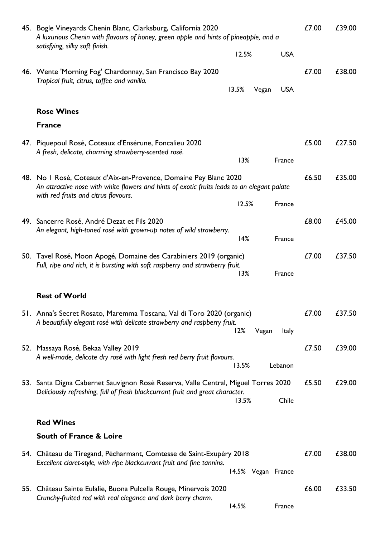| 45. Bogle Vineyards Chenin Blanc, Clarksburg, California 2020<br>A luxurious Chenin with flavours of honey, green apple and hints of pineapple, and a<br>satisfying, silky soft finish. |       |       | £7.00              | £39.00 |        |
|-----------------------------------------------------------------------------------------------------------------------------------------------------------------------------------------|-------|-------|--------------------|--------|--------|
|                                                                                                                                                                                         | 12.5% |       | <b>USA</b>         |        |        |
| 46. Wente 'Morning Fog' Chardonnay, San Francisco Bay 2020<br>Tropical fruit, citrus, toffee and vanilla.                                                                               | 13.5% | Vegan | <b>USA</b>         | £7.00  | £38.00 |
| <b>Rose Wines</b>                                                                                                                                                                       |       |       |                    |        |        |
| <b>France</b>                                                                                                                                                                           |       |       |                    |        |        |
|                                                                                                                                                                                         |       |       |                    |        |        |
| 47. Piquepoul Rosé, Coteaux d'Ensérune, Foncalieu 2020<br>A fresh, delicate, charming strawberry-scented rosé.                                                                          |       |       |                    | £5.00  | £27.50 |
|                                                                                                                                                                                         | 13%   |       | France             |        |        |
| 48. No I Rosé, Coteaux d'Aix-en-Provence, Domaine Pey Blanc 2020<br>An attractive nose with white flowers and hints of exotic fruits leads to an elegant palate                         |       |       |                    | £6.50  | £35.00 |
| with red fruits and citrus flavours.                                                                                                                                                    | 12.5% |       | France             |        |        |
| 49. Sancerre Rosé, André Dezat et Fils 2020                                                                                                                                             |       |       |                    | £8.00  | £45.00 |
| An elegant, high-toned rosé with grown-up notes of wild strawberry.                                                                                                                     | 14%   |       | France             |        |        |
| 50. Tavel Rosé, Moon Apogé, Domaine des Carabiniers 2019 (organic)<br>Full, ripe and rich, it is bursting with soft raspberry and strawberry fruit.                                     | 13%   |       | France             | £7.00  | £37.50 |
| <b>Rest of World</b>                                                                                                                                                                    |       |       |                    |        |        |
| 51. Anna's Secret Rosato, Maremma Toscana, Val di Toro 2020 (organic)                                                                                                                   |       |       |                    | £7.00  | £37.50 |
| A beautifully elegant rosé with delicate strawberry and raspberry fruit.                                                                                                                | 12%   | Vegan | Italy              |        |        |
| 52. Massaya Rosé, Bekaa Valley 2019                                                                                                                                                     |       |       |                    | £7.50  | £39.00 |
| A well-made, delicate dry rosé with light fresh red berry fruit flavours.                                                                                                               | 13.5% |       | Lebanon            |        |        |
| 53. Santa Digna Cabernet Sauvignon Rosé Reserva, Valle Central, Miguel Torres 2020<br>Deliciously refreshing, full of fresh blackcurrant fruit and great character.                     | 13.5% |       | Chile              | £5.50  | £29.00 |
| <b>Red Wines</b>                                                                                                                                                                        |       |       |                    |        |        |
| <b>South of France &amp; Loire</b>                                                                                                                                                      |       |       |                    |        |        |
|                                                                                                                                                                                         |       |       |                    | £7.00  | £38.00 |
| 54. Château de Tiregand, Pécharmant, Comtesse de Saint-Exupèry 2018<br>Excellent claret-style, with ripe blackcurrant fruit and fine tannins.                                           |       |       | 14.5% Vegan France |        |        |
|                                                                                                                                                                                         |       |       |                    |        |        |
| 55. Château Sainte Eulalie, Buona Pulcella Rouge, Minervois 2020<br>Crunchy-fruited red with real elegance and dark berry charm.                                                        | 14.5% |       | France             | £6.00  | £33.50 |
|                                                                                                                                                                                         |       |       |                    |        |        |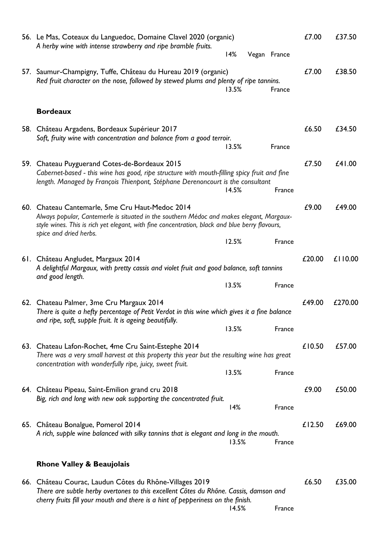| 56. Le Mas, Coteaux du Languedoc, Domaine Clavel 2020 (organic)<br>A herby wine with intense strawberry and ripe bramble fruits.<br>14%                                                                                                                                 | £7.00  | £37.50  |
|-------------------------------------------------------------------------------------------------------------------------------------------------------------------------------------------------------------------------------------------------------------------------|--------|---------|
| Vegan France                                                                                                                                                                                                                                                            |        |         |
| 57. Saumur-Champigny, Tuffe, Château du Hureau 2019 (organic)<br>Red fruit character on the nose, followed by stewed plums and plenty of ripe tannins.<br>13.5%<br>France                                                                                               | £7.00  | £38.50  |
| <b>Bordeaux</b>                                                                                                                                                                                                                                                         |        |         |
| 58. Château Argadens, Bordeaux Supérieur 2017<br>Soft, fruity wine with concentration and balance from a good terroir.<br>13.5%<br>France                                                                                                                               | £6.50  | £34.50  |
| 59. Chateau Puyguerand Cotes-de-Bordeaux 2015<br>Cabernet-based - this wine has good, ripe structure with mouth-filling spicy fruit and fine<br>length. Managed by François Thienpont, Stéphane Derenoncourt is the consultant<br>14.5%<br>France                       | £7.50  | £41.00  |
| 60. Chateau Cantemarle, 5me Cru Haut-Medoc 2014<br>Always popular, Cantemerle is situated in the southern Médoc and makes elegant, Margaux-<br>style wines. This is rich yet elegant, with fine concentration, black and blue berry flavours,<br>spice and dried herbs. | £9.00  | £49.00  |
| 12.5%<br>France                                                                                                                                                                                                                                                         |        |         |
| 61. Château Angludet, Margaux 2014<br>A delightful Margaux, with pretty cassis and violet fruit and good balance, soft tannins<br>and good length.                                                                                                                      | £20.00 | £110.00 |
| 13.5%<br>France                                                                                                                                                                                                                                                         |        |         |
| 62. Chateau Palmer, 3me Cru Margaux 2014<br>There is quite a hefty percentage of Petit Verdot in this wine which gives it a fine balance<br>and ripe, soft, supple fruit. It is ageing beautifully.                                                                     | £49.00 | £270.00 |
| 13.5%<br>France                                                                                                                                                                                                                                                         |        |         |
| 63. Chateau Lafon-Rochet, 4me Cru Saint-Estephe 2014<br>There was a very small harvest at this property this year but the resulting wine has great<br>concentration with wonderfully ripe, juicy, sweet fruit.                                                          | £10.50 | £57.00  |
| 13.5%<br>France                                                                                                                                                                                                                                                         |        |         |
| 64. Château Pipeau, Saint-Emilion grand cru 2018<br>Big, rich and long with new oak supporting the concentrated fruit.<br>14%<br>France                                                                                                                                 | £9.00  | £50.00  |
|                                                                                                                                                                                                                                                                         |        |         |
| 65. Château Bonalgue, Pomerol 2014<br>A rich, supple wine balanced with silky tannins that is elegant and long in the mouth.<br>13.5%<br>France                                                                                                                         | £12.50 | £69.00  |
| <b>Rhone Valley &amp; Beaujolais</b>                                                                                                                                                                                                                                    |        |         |
| 66. Château Courac, Laudun Côtes du Rhône-Villages 2019<br>There are subtle herby overtones to this excellent Côtes du Rhône. Cassis, damson and<br>cherry fruits fill your mouth and there is a hint of pepperiness on the finish.<br>14.5%<br>France                  | £6.50  | £35.00  |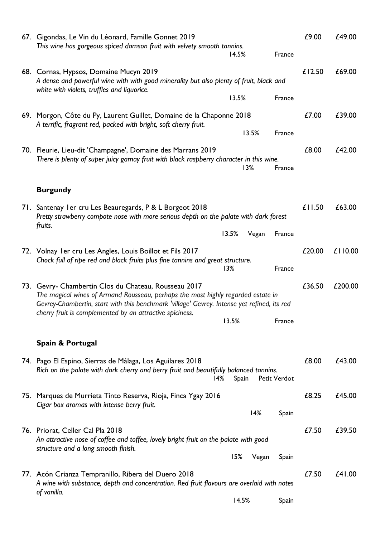| 67. Gigondas, Le Vin du Léonard, Famille Gonnet 2019<br>This wine has gorgeous spiced damson fruit with velvety smooth tannins.                                                                                                                                                                     | 14.5% |       | France       | £9.00  | £49.00  |
|-----------------------------------------------------------------------------------------------------------------------------------------------------------------------------------------------------------------------------------------------------------------------------------------------------|-------|-------|--------------|--------|---------|
| 68. Cornas, Hypsos, Domaine Mucyn 2019<br>A dense and powerful wine with with good minerality but also plenty of fruit, black and<br>white with violets, truffles and liquorice.                                                                                                                    |       |       |              | £12.50 | £69.00  |
|                                                                                                                                                                                                                                                                                                     | 13.5% |       | France       |        |         |
| 69. Morgon, Côte du Py, Laurent Guillet, Domaine de la Chaponne 2018<br>A terrific, fragrant red, packed with bright, soft cherry fruit.                                                                                                                                                            |       |       |              | £7.00  | £39.00  |
|                                                                                                                                                                                                                                                                                                     |       | 13.5% | France       |        |         |
| 70. Fleurie, Lieu-dit 'Champagne', Domaine des Marrans 2019<br>There is plenty of super juicy gamay fruit with black raspberry character in this wine.                                                                                                                                              |       | 13%   | France       | £8.00  | £42.00  |
| <b>Burgundy</b>                                                                                                                                                                                                                                                                                     |       |       |              |        |         |
| 71. Santenay I er cru Les Beauregards, P & L Borgeot 2018<br>Pretty strawberry compote nose with more serious depth on the palate with dark forest<br>fruits.                                                                                                                                       | 13.5% | Vegan | France       | £11.50 | £63.00  |
|                                                                                                                                                                                                                                                                                                     |       |       |              |        |         |
| 72. Volnay I er cru Les Angles, Louis Boillot et Fils 2017<br>Chock full of ripe red and black fruits plus fine tannins and great structure.                                                                                                                                                        | 13%   |       | France       | £20.00 | £110.00 |
| 73. Gevry- Chambertin Clos du Chateau, Rousseau 2017<br>The magical wines of Armand Rousseau, perhaps the most highly regarded estate in<br>Gevrey-Chambertin, start with this benchmark 'village' Gevrey. Intense yet refined, its red<br>cherry fruit is complemented by an attractive spiciness. |       |       |              | £36.50 | £200.00 |
|                                                                                                                                                                                                                                                                                                     | 13.5% |       | France       |        |         |
| Spain & Portugal                                                                                                                                                                                                                                                                                    |       |       |              |        |         |
| 74. Pago El Espino, Sierras de Málaga, Los Aguilares 2018<br>Rich on the palate with dark cherry and berry fruit and beautifully balanced tannins.<br>14%                                                                                                                                           | Spain |       | Petit Verdot | £8.00  | £43.00  |
| 75. Marques de Murrieta Tinto Reserva, Rioja, Finca Ygay 2016<br>Cigar box aromas with intense berry fruit.                                                                                                                                                                                         |       |       |              | £8.25  | £45.00  |
|                                                                                                                                                                                                                                                                                                     |       | 14%   | Spain        |        |         |
| 76. Priorat, Celler Cal Pla 2018<br>An attractive nose of coffee and toffee, lovely bright fruit on the palate with good<br>structure and a long smooth finish.                                                                                                                                     |       |       |              | £7.50  | £39.50  |
|                                                                                                                                                                                                                                                                                                     | 15%   | Vegan | Spain        |        |         |
| 77. Acón Crianza Tempranillo, Ribera del Duero 2018<br>A wine with substance, depth and concentration. Red fruit flavours are overlaid with notes<br>of vanilla.                                                                                                                                    |       |       |              | £7.50  | £41.00  |
|                                                                                                                                                                                                                                                                                                     | 14.5% |       | Spain        |        |         |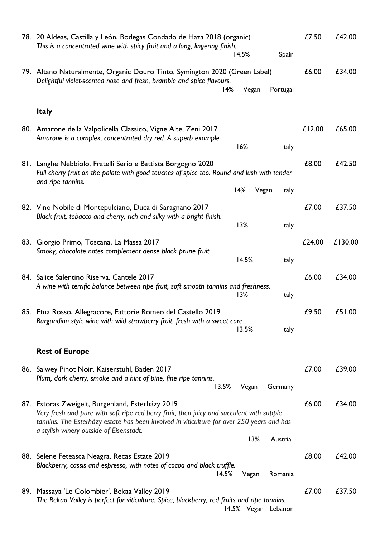|     | 78. 20 Aldeas, Castilla y León, Bodegas Condado de Haza 2018 (organic)<br>This is a concentrated wine with spicy fruit and a long, lingering finish.<br>14.5%<br>Spain                | £7.50  | £42.00  |
|-----|---------------------------------------------------------------------------------------------------------------------------------------------------------------------------------------|--------|---------|
|     |                                                                                                                                                                                       |        |         |
|     | 79. Altano Naturalmente, Organic Douro Tinto, Symington 2020 (Green Label)<br>Delightful violet-scented nose and fresh, bramble and spice flavours.<br>14%<br>Vegan<br>Portugal       | £6.00  | £34.00  |
|     |                                                                                                                                                                                       |        |         |
|     | <b>Italy</b>                                                                                                                                                                          |        |         |
|     | 80. Amarone della Valpolicella Classico, Vigne Alte, Zeni 2017                                                                                                                        | £12.00 | £65.00  |
|     | Amarone is a complex, concentrated dry red. A superb example.<br>16%<br><b>Italy</b>                                                                                                  |        |         |
|     |                                                                                                                                                                                       |        |         |
|     | 81. Langhe Nebbiolo, Fratelli Serio e Battista Borgogno 2020<br>Full cherry fruit on the palate with good touches of spice too. Round and lush with tender<br>and ripe tannins.       | £8.00  | £42.50  |
|     | 14%<br>Vegan<br>Italy                                                                                                                                                                 |        |         |
|     | 82. Vino Nobile di Montepulciano, Duca di Saragnano 2017<br>Black fruit, tobacco and cherry, rich and silky with a bright finish.                                                     | £7.00  | £37.50  |
|     | 13%<br>Italy                                                                                                                                                                          |        |         |
| 83. | Giorgio Primo, Toscana, La Massa 2017                                                                                                                                                 | £24.00 | £130.00 |
|     | Smoky, chocolate notes complement dense black prune fruit.                                                                                                                            |        |         |
|     | 14.5%<br><b>Italy</b>                                                                                                                                                                 |        |         |
|     | 84. Salice Salentino Riserva, Cantele 2017<br>A wine with terrific balance between ripe fruit, soft smooth tannins and freshness.                                                     | £6.00  | £34.00  |
|     | 13%<br><b>Italy</b>                                                                                                                                                                   |        |         |
|     | 85. Etna Rosso, Allegracore, Fattorie Romeo del Castello 2019                                                                                                                         | £9.50  | £51.00  |
|     | Burgundian style wine with wild strawberry fruit, fresh with a sweet core.                                                                                                            |        |         |
|     | 13.5%<br><b>Italy</b>                                                                                                                                                                 |        |         |
|     | <b>Rest of Europe</b>                                                                                                                                                                 |        |         |
|     |                                                                                                                                                                                       |        |         |
|     | 86. Salwey Pinot Noir, Kaiserstuhl, Baden 2017<br>Plum, dark cherry, smoke and a hint of pine, fine ripe tannins.                                                                     | £7.00  | £39.00  |
|     | 13.5%<br>Vegan<br>Germany                                                                                                                                                             |        |         |
|     | 87. Estoras Zweigelt, Burgenland, Esterházy 2019                                                                                                                                      | £6.00  | £34.00  |
|     | Very fresh and pure with soft ripe red berry fruit, then juicy and succulent with supple<br>tannins. The Esterházy estate has been involved in viticulture for over 250 years and has |        |         |
|     | a stylish winery outside of Eisenstadt.<br>13%<br>Austria                                                                                                                             |        |         |
|     | 88. Selene Feteasca Neagra, Recas Estate 2019                                                                                                                                         | £8.00  | £42.00  |
|     | Blackberry, cassis and espresso, with notes of cocoa and black truffle.                                                                                                               |        |         |
|     | 14.5%<br>Romania<br>Vegan                                                                                                                                                             |        |         |
|     | 89. Massaya 'Le Colombier', Bekaa Valley 2019                                                                                                                                         | £7.00  | £37.50  |
|     | The Bekaa Valley is perfect for viticulture. Spice, blackberry, red fruits and ripe tannins.<br>14.5% Vegan Lebanon                                                                   |        |         |
|     |                                                                                                                                                                                       |        |         |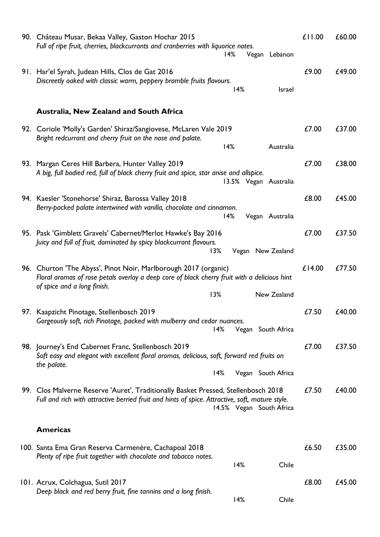| 90. Château Musar, Bekaa Valley, Gaston Hochar 2015<br>Full of ripe fruit, cherries, blackcurrants and cranberries with liquorice notes.<br>14%<br>Vegan Lebanon                                                  | £11.00 | £60.00 |
|-------------------------------------------------------------------------------------------------------------------------------------------------------------------------------------------------------------------|--------|--------|
| 91. Har'el Syrah, Judean Hills, Clos de Gat 2016<br>Discreetly oaked with classic warm, peppery bramble fruits flavours.<br>14%<br>Israel                                                                         | £9.00  | £49.00 |
| <b>Australia, New Zealand and South Africa</b>                                                                                                                                                                    |        |        |
| 92. Coriole 'Molly's Garden' Shiraz/Sangiovese, McLaren Vale 2019<br>Bright redcurrant and cherry fruit on the nose and palate.                                                                                   | £7.00  | £37.00 |
| 14%<br>Australia<br>93. Margan Ceres Hill Barbera, Hunter Valley 2019<br>A big, full bodied red, full of black cherry fruit and spice, star anise and allspice.                                                   | £7.00  | £38.00 |
| 13.5% Vegan Australia<br>94. Kaesler 'Stonehorse' Shiraz, Barossa Valley 2018                                                                                                                                     | £8.00  | £45.00 |
| Berry-packed palate intertwined with vanilla, chocolate and cinnamon.<br>14%<br>Vegan Australia                                                                                                                   |        |        |
| 95. Pask 'Gimblett Gravels' Cabernet/Merlot Hawke's Bay 2016<br>Juicy and full of fruit, dominated by spicy blackcurrant flavours.<br>13%<br>Vegan New Zealand                                                    | £7.00  | £37.50 |
| 96. Churton 'The Abyss', Pinot Noir, Marlborough 2017 (organic)<br>Floral aromas of rose petals overlay a deep core of black cherry fruit with a delicious hint<br>of spice and a long finish.                    | £14.00 | £77.50 |
| 13%<br>New Zealand                                                                                                                                                                                                |        |        |
| 97. Kaapzicht Pinotage, Stellenbosch 2019<br>Gorgeously soft, rich Pinotage, packed with mulberry and cedar nuances.<br>14%<br>Vegan South Africa                                                                 | £7.50  | £40.00 |
| 98. Journey's End Cabernet Franc, Stellenbosch 2019<br>Soft easy and elegant with excellent floral aromas, delicious, soft, forward red fruits on<br>the palate.                                                  | £7.00  | £37.50 |
| 14%<br>Vegan South Africa                                                                                                                                                                                         |        |        |
| 99. Clos Malverne Reserve 'Auret', Traditionally Basket Pressed, Stellenbosch 2018<br>Full and rich with attractive berried fruit and hints of spice. Attractive, soft, mature style.<br>14.5% Vegan South Africa | £7.50  | £40.00 |
| <b>Americas</b>                                                                                                                                                                                                   |        |        |
| 100. Santa Ema Gran Reserva Carmenère, Cachapoal 2018<br>Plenty of ripe fruit together with chocolate and tobacco notes.<br>14%<br>Chile                                                                          | £6.50  | £35.00 |
| 101. Acrux, Colchagua, Sutil 2017                                                                                                                                                                                 | £8.00  | £45.00 |
| Deep black and red berry fruit, fine tannins and a long finish.<br>14%<br>Chile                                                                                                                                   |        |        |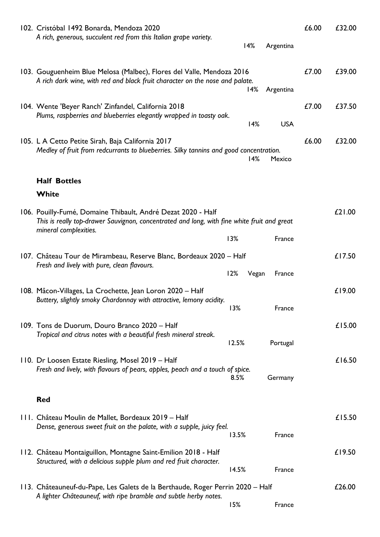| 102. Cristóbal 1492 Bonarda, Mendoza 2020<br>A rich, generous, succulent red from this Italian grape variety.                                                                        | 14%          | Argentina  | £6.00 | £32.00 |
|--------------------------------------------------------------------------------------------------------------------------------------------------------------------------------------|--------------|------------|-------|--------|
| 103. Gouguenheim Blue Melosa (Malbec), Flores del Valle, Mendoza 2016<br>A rich dark wine, with red and black fruit character on the nose and palate.                                | 14%          | Argentina  | £7.00 | £39.00 |
| 104. Wente 'Beyer Ranch' Zinfandel, California 2018<br>Plums, raspberries and blueberries elegantly wrapped in toasty oak.                                                           | 14%          | <b>USA</b> | £7.00 | £37.50 |
| 105. L A Cetto Petite Sirah, Baja California 2017<br>Medley of fruit from redcurrants to blueberries. Silky tannins and good concentration.                                          | 14%          | Mexico     | £6.00 | £32.00 |
| <b>Half Bottles</b>                                                                                                                                                                  |              |            |       |        |
| White                                                                                                                                                                                |              |            |       |        |
| 106. Pouilly-Fumé, Domaine Thibault, André Dezat 2020 - Half<br>This is really top-drawer Sauvignon, concentrated and long, with fine white fruit and great<br>mineral complexities. |              |            |       | £21.00 |
|                                                                                                                                                                                      | 13%          | France     |       |        |
| 107. Château Tour de Mirambeau, Reserve Blanc, Bordeaux 2020 – Half<br>Fresh and lively with pure, clean flavours.                                                                   | 12%<br>Vegan | France     |       | £17.50 |
| 108. Mâcon-Villages, La Crochette, Jean Loron 2020 – Half<br>Buttery, slightly smoky Chardonnay with attractive, lemony acidity.                                                     | 13%          | France     |       | £19.00 |
| 109. Tons de Duorum, Douro Branco 2020 - Half<br>Tropical and citrus notes with a beautiful fresh mineral streak.                                                                    | 12.5%        | Portugal   |       | £15.00 |
| 110. Dr Loosen Estate Riesling, Mosel 2019 - Half<br>Fresh and lively, with flavours of pears, apples, peach and a touch of spice.                                                   | 8.5%         | Germany    |       | £16.50 |
| <b>Red</b>                                                                                                                                                                           |              |            |       |        |
| 111. Château Moulin de Mallet, Bordeaux 2019 – Half<br>Dense, generous sweet fruit on the palate, with a supple, juicy feel.                                                         | 13.5%        | France     |       | £15.50 |
| 112. Château Montaiguillon, Montagne Saint-Emilion 2018 - Half<br>Structured, with a delicious supple plum and red fruit character.                                                  | 14.5%        | France     |       | £19.50 |
| 113. Châteauneuf-du-Pape, Les Galets de la Berthaude, Roger Perrin 2020 – Half                                                                                                       |              |            |       | £26.00 |
| A lighter Châteauneuf, with ripe bramble and subtle herby notes.                                                                                                                     | 15%          | France     |       |        |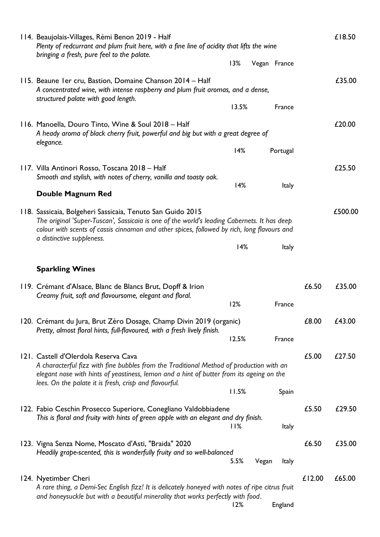| 114. Beaujolais-Villages, Rémi Benon 2019 - Half<br>Plenty of redcurrant and plum fruit here, with a fine line of acidity that lifts the wine<br>bringing a fresh, pure feel to the palate.                                                                                           |       |                       |        | £18.50  |
|---------------------------------------------------------------------------------------------------------------------------------------------------------------------------------------------------------------------------------------------------------------------------------------|-------|-----------------------|--------|---------|
|                                                                                                                                                                                                                                                                                       | 13%   | Vegan France          |        |         |
| 115. Beaune I er cru, Bastion, Domaine Chanson 2014 - Half<br>A concentrated wine, with intense raspberry and plum fruit aromas, and a dense,<br>structured palate with good length.                                                                                                  |       |                       |        | £35.00  |
|                                                                                                                                                                                                                                                                                       | 13.5% | France                |        |         |
| 116. Manoella, Douro Tinto, Wine & Soul 2018 - Half<br>A heady aroma of black cherry fruit, powerful and big but with a great degree of<br>elegance.                                                                                                                                  |       |                       |        | £20.00  |
|                                                                                                                                                                                                                                                                                       | 14%   | Portugal              |        |         |
| 117. Villa Antinori Rosso, Toscana 2018 - Half<br>Smooth and stylish, with notes of cherry, vanilla and toasty oak.                                                                                                                                                                   | 14%   | <b>Italy</b>          |        | £25.50  |
| <b>Double Magnum Red</b>                                                                                                                                                                                                                                                              |       |                       |        |         |
| 118. Sassicaia, Bolgeheri Sassicaia, Tenuto San Guido 2015<br>The original 'Super-Tuscan', Sassicaia is one of the world's leading Cabernets. It has deep<br>colour with scents of cassis cinnamon and other spices, followed by rich, long flavours and<br>a distinctive suppleness. |       |                       |        | £500.00 |
|                                                                                                                                                                                                                                                                                       | 14%   | <b>Italy</b>          |        |         |
| <b>Sparkling Wines</b>                                                                                                                                                                                                                                                                |       |                       |        |         |
| 119. Crémant d'Alsace, Blanc de Blancs Brut, Dopff & Irion<br>Creamy fruit, soft and flavoursome, elegant and floral.                                                                                                                                                                 |       |                       | £6.50  | £35.00  |
|                                                                                                                                                                                                                                                                                       | 12%   | France                |        |         |
| 120. Crémant du Jura, Brut Zéro Dosage, Champ Divin 2019 (organic)<br>Pretty, almost floral hints, full-flavoured, with a fresh lively finish.                                                                                                                                        | 12.5% | France                | £8.00  | £43.00  |
|                                                                                                                                                                                                                                                                                       |       |                       |        |         |
| 121. Castell d'Olerdola Reserva Cava<br>A characterful fizz with fine bubbles from the Traditional Method of production with an<br>elegant nose with hints of yeastiness, lemon and a hint of butter from its ageing on the                                                           |       |                       | £5.00  | £27.50  |
| lees. On the palate it is fresh, crisp and flavourful.                                                                                                                                                                                                                                | 11.5% | Spain                 |        |         |
| 122. Fabio Ceschin Prosecco Superiore, Conegliano Valdobbiadene<br>This is floral and fruity with hints of green apple with an elegant and dry finish.                                                                                                                                |       |                       | £5.50  | £29.50  |
|                                                                                                                                                                                                                                                                                       | 11%   | Italy                 |        |         |
| 123. Vigna Senza Nome, Moscato d'Asti, "Braida" 2020<br>Headily grape-scented, this is wonderfully fruity and so well-balanced                                                                                                                                                        | 5.5%  | Vegan<br><b>Italy</b> | £6.50  | £35.00  |
| 124. Nyetimber Cheri                                                                                                                                                                                                                                                                  |       |                       | £12.00 | £65.00  |
| A rare thing, a Demi-Sec English fizz! It is delicately honeyed with notes of ripe citrus fruit<br>and honeysuckle but with a beautiful minerality that works perfectly with food.                                                                                                    |       |                       |        |         |
|                                                                                                                                                                                                                                                                                       | 12%   | England               |        |         |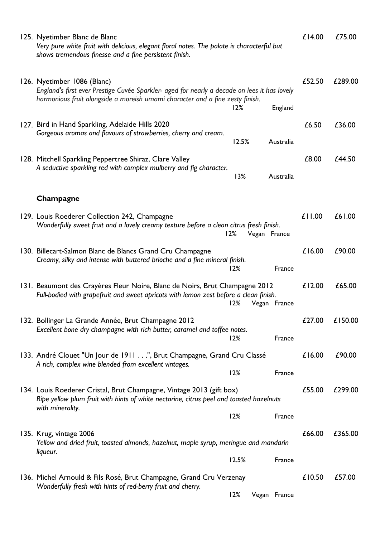| 125. Nyetimber Blanc de Blanc<br>Very pure white fruit with delicious, elegant floral notes. The palate is characterful but<br>shows tremendous finesse and a fine persistent finish.                        |       |              |              | £14.00 | £75.00  |
|--------------------------------------------------------------------------------------------------------------------------------------------------------------------------------------------------------------|-------|--------------|--------------|--------|---------|
| 126. Nyetimber 1086 (Blanc)<br>England's first ever Prestige Cuvée Sparkler- aged for nearly a decade on lees it has lovely<br>harmonious fruit alongside a moreish umami character and a fine zesty finish. | 12%   |              | England      | £52.50 | £289.00 |
| 127. Bird in Hand Sparkling, Adelaide Hills 2020<br>Gorgeous aromas and flavours of strawberries, cherry and cream.                                                                                          | 12.5% |              | Australia    | £6.50  | £36.00  |
| 128. Mitchell Sparkling Peppertree Shiraz, Clare Valley<br>A seductive sparkling red with complex mulberry and fig character.                                                                                | 13%   |              | Australia    | £8.00  | £44.50  |
| Champagne                                                                                                                                                                                                    |       |              |              |        |         |
| 129. Louis Roederer Collection 242, Champagne<br>Wonderfully sweet fruit and a lovely creamy texture before a clean citrus fresh finish.                                                                     | 12%   | Vegan France |              | £11.00 | £61.00  |
| 130. Billecart-Salmon Blanc de Blancs Grand Cru Champagne<br>Creamy, silky and intense with buttered brioche and a fine mineral finish.                                                                      | 12%   |              | France       | £16.00 | £90.00  |
| 131. Beaumont des Crayères Fleur Noire, Blanc de Noirs, Brut Champagne 2012<br>Full-bodied with grapefruit and sweet apricots with lemon zest before a clean finish.                                         | 12%   |              | Vegan France | £12.00 | £65.00  |
| 132. Bollinger La Grande Année, Brut Champagne 2012<br>Excellent bone dry champagne with rich butter, caramel and toffee notes.                                                                              | 12%   |              | France       | £27.00 | £150.00 |
| 133. André Clouet "Un Jour de 1911 ", Brut Champagne, Grand Cru Classé<br>A rich, complex wine blended from excellent vintages.                                                                              | 12%   |              | France       | £16.00 | £90.00  |
| 134. Louis Roederer Cristal, Brut Champagne, Vintage 2013 (gift box)<br>Ripe yellow plum fruit with hints of white nectarine, citrus peel and toasted hazelnuts<br>with minerality.                          |       |              |              | £55.00 | £299.00 |
|                                                                                                                                                                                                              | 12%   |              | France       |        |         |
| 135. Krug, vintage 2006<br>Yellow and dried fruit, toasted almonds, hazelnut, maple syrup, meringue and mandarin<br>liqueur.                                                                                 |       |              |              | £66.00 | £365.00 |
|                                                                                                                                                                                                              | 12.5% |              | France       |        |         |
| 136. Michel Arnould & Fils Rosé, Brut Champagne, Grand Cru Verzenay<br>Wonderfully fresh with hints of red-berry fruit and cherry.                                                                           |       |              |              | £10.50 | £57.00  |
|                                                                                                                                                                                                              | 12%   |              | Vegan France |        |         |